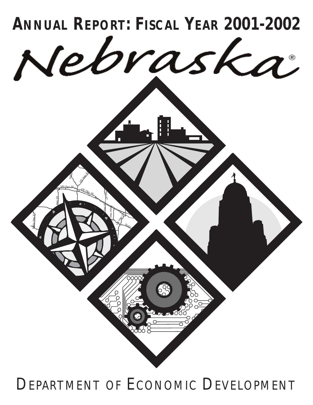

# DEPARTMENT OF ECONOMIC DEVELOPMENT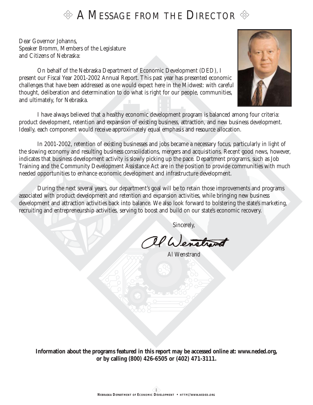### $\otimes$  A Message from the Director  $\otimes$

Dear Governor Johanns, Speaker Bromm, Members of the Legislature and Citizens of Nebraska:

On behalf of the Nebraska Department of Economic Development (DED), I present our Fiscal Year 2001-2002 Annual Report. This past year has presented economic challenges that have been addressed as one would expect here in the Midwest: with careful thought, deliberation and determination to do what is right for our people, communities, and ultimately, for Nebraska.

I have always believed that a healthy economic development program is balanced among four criteria: product development, retention and expansion of existing business, attraction, and new business development. Ideally, each component would receive approximately equal emphasis and resource allocation.

In 2001-2002, retention of existing businesses and jobs became a necessary focus, particularly in light of the slowing economy and resulting business consolidations, mergers and acquisitions. Recent good news, however, indicates that business development activity is slowly picking up the pace. Department programs, such as Job Training and the Community Development Assistance Act are in the position to provide communities with much needed opportunities to enhance economic development and infrastructure development.

During the next several years, our department's goal will be to retain those improvements and programs associated with product development and retention and expansion activities, while bringing new business development and attraction activities back into balance. We also look forward to bolstering the state's marketing, recruiting and entrepreneurship activities, serving to boost and build on our state's economic recovery.

Sincerely,

Il Wenstrand

Al Wenstrand

*Information about the programs featured in this report may be accessed online at: www.neded.org, or by calling (800) 426-6505 or (402) 471-3111.*

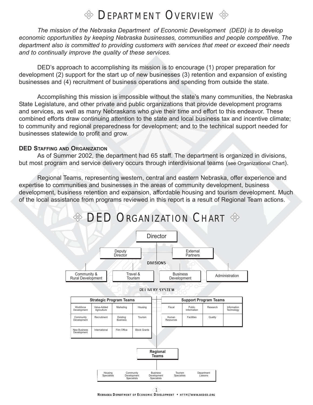### $\textcircled{*}$  DEPARTMENT OVERVIEW  $\textcircled{*}$

*The mission of the Nebraska Department of Economic Development (DED) is to develop economic opportunities by keeping Nebraska businesses, communities and people competitive. The department also is committed to providing customers with services that meet or exceed their needs and to continually improve the quality of these services.*

DED's approach to accomplishing its mission is to encourage (1) proper preparation for development (2) support for the start up of new businesses (3) retention and expansion of existing businesses and (4) recruitment of business operations and spending from outside the state.

Accomplishing this mission is impossible without the state's many communities, the Nebraska State Legislature, and other private and public organizations that provide development programs and services, as well as many Nebraskans who give their time and effort to this endeavor. These combined efforts draw continuing attention to the state and local business tax and incentive climate; to community and regional preparedness for development; and to the technical support needed for businesses statewide to profit and grow.

#### **DED STAFFING AND ORGANIZATION**

As of Summer 2002, the department had 65 staff. The department is organized in divisions, but most program and service delivery occurs through interdivisional teams (see Organizational Chart).

Regional Teams, representing western, central and eastern Nebraska, offer experience and expertise to communities and businesses in the areas of community development, business development, business retention and expansion, affordable housing and tourism development. Much of the local assistance from programs reviewed in this report is a result of Regional Team actions.



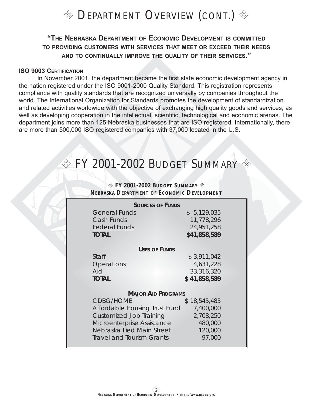

### **"THE NEBRASKA DEPARTMENT OF ECONOMIC DEVELOPMENT IS COMMITTED TO PROVIDING CUSTOMERS WITH SERVICES THAT MEET OR EXCEED THEIR NEEDS AND TO CONTINUALLY IMPROVE THE QUALITY OF THEIR SERVICES."**

#### **ISO 9003 CERTIFICATION**

In November 2001, the department became the first state economic development agency in the nation registered under the ISO 9001-2000 Quality Standard. This registration represents compliance with quality standards that are recognized universally by companies throughout the world. The International Organization for Standards promotes the development of standardization and related activities worldwide with the objective of exchanging high quality goods and services, as well as developing cooperation in the intellectual, scientific, technological and economic arenas. The department joins more than 125 Nebraska businesses that are ISO registered. Internationally, there are more than 500,000 ISO registered companies with 37,000 located in the U.S.

### $\textcircled{*}$  FY 2001-2002 BUDGET SUMMARY  $\textcircled{*}$

#### *FY 2001-2002 BUDGET SUMMARY NEBRASKA DEPARTMENT OF ECONOMIC DEVELOPMENT*

| <b>SOURCES OF FUNDS</b>                       |              |  |  |  |  |  |
|-----------------------------------------------|--------------|--|--|--|--|--|
| <b>General Funds</b>                          | \$5,129,035  |  |  |  |  |  |
| Cash Funds                                    | 11,778,296   |  |  |  |  |  |
| <b>Federal Funds</b>                          | 24,951,258   |  |  |  |  |  |
| <b>TOTAL</b>                                  | \$41,858,589 |  |  |  |  |  |
| USES OF FUNDS                                 |              |  |  |  |  |  |
| Staff                                         | \$3,911,042  |  |  |  |  |  |
| Operations                                    | 4,631,228    |  |  |  |  |  |
| Aid                                           | 33,316,320   |  |  |  |  |  |
| <b>TOTAL</b>                                  | \$41,858,589 |  |  |  |  |  |
|                                               |              |  |  |  |  |  |
| <b>MAJOR AID PROGRAMS</b><br><b>CDBG/HOME</b> |              |  |  |  |  |  |
|                                               | \$18,545,485 |  |  |  |  |  |
| Affordable Housing Trust Fund                 | 7,400,000    |  |  |  |  |  |
| <b>Customized Job Training</b>                | 2,708,250    |  |  |  |  |  |
| Microenterprise Assistance                    | 480,000      |  |  |  |  |  |
| Nebraska Lied Main Street                     | 120,000      |  |  |  |  |  |
| <b>Travel and Tourism Grants</b>              | 97,000       |  |  |  |  |  |
|                                               |              |  |  |  |  |  |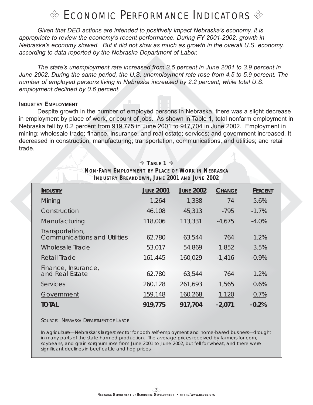### $\%$  ECONOMIC PERFORMANCE INDICATORS  $\%$

*Given that DED actions are intended to positively impact Nebraska's economy, it is appropriate to review the economy's recent performance. During FY 2001-2002, growth in Nebraska's economy slowed. But it did not slow as much as growth in the overall U.S. economy, according to data reported by the Nebraska Department of Labor.*

*The state's unemployment rate increased from 3.5 percent in June 2001 to 3.9 percent in June 2002. During the same period, the U.S. unemployment rate rose from 4.5 to 5.9 percent. The number of employed persons living in Nebraska increased by 2.2 percent, while total U.S. employment declined by 0.6 percent.*

#### **INDUSTRY EMPLOYMENT**

Despite growth in the number of employed persons in Nebraska, there was a slight decrease in employment by place of work, or count of jobs. As shown in Table 1, total nonfarm employment in Nebraska fell by 0.2 percent from 919,775 in June 2001 to 917,704 in June 2002. Employment in mining; wholesale trade; finance, insurance, and real estate; services; and government increased. It decreased in construction; manufacturing; transportation, communications, and utilities; and retail trade.

| INDUSTRY BREAKDOWN, JUNE ZUU1 AND JUNE ZUUZ            |                  |                  |               |         |
|--------------------------------------------------------|------------------|------------------|---------------|---------|
| <b>INDUSTRY</b>                                        | <b>JUNE 2001</b> | <b>JUNE 2002</b> | <b>CHANGE</b> | PERCENT |
| Mining                                                 | 1,264            | 1,338            | 74            | 5.6%    |
| Construction                                           | 46,108           | 45,313           | $-795$        | $-1.7%$ |
| Manufacturing                                          | 118,006          | 113,331          | $-4,675$      | $-4.0%$ |
| Transportation,<br><b>Communications and Utilities</b> | 62,780           | 63,544           | 764           | 1.2%    |
| <b>Wholesale Trade</b>                                 | 53,017           | 54,869           | 1,852         | 3.5%    |
| Retail Trade                                           | 161,445          | 160,029          | $-1,416$      | $-0.9%$ |
| Finance, Insurance,<br>and Real Estate                 | 62,780           | 63,544           | 764           | 1.2%    |
| Services                                               | 260,128          | 261,693          | 1,565         | 0.6%    |
| Government                                             | 159,148          | 160,268          | 1,120         | 0.7%    |
| <b>TOTAL</b>                                           | 919,775          | 917,704          | $-2,071$      | $-0.2%$ |

#### *TABLE 1 NON-FARM EMPLOYMENT BY PLACE OF WORK IN NEBRASKA INDUSTRY BREAKDOWN, JUNE 2001 AND JUNE 2002*

SOURCE: NEBRASKA DEPARTMENT OF LABOR

*In agriculture—Nebraska's largest sector for both self-employment and home-based business—drought in many parts of the state harmed production. The average prices received by farmers for corn, soybeans, and grain sorghum rose from June 2001 to June 2002, but fell for wheat, and there were significant declines in beef cattle and hog prices.*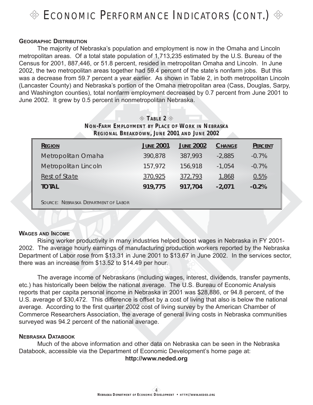

#### **GEOGRAPHIC DISTRIBUTION**

The majority of Nebraska's population and employment is now in the Omaha and Lincoln metropolitan areas. Of a total state population of 1,713,235 estimated by the U.S. Bureau of the Census for 2001, 887,446, or 51.8 percent, resided in metropolitan Omaha and Lincoln. In June 2002, the two metropolitan areas together had 59.4 percent of the state's nonfarm jobs. But this was a decrease from 59.7 percent a year earlier. As shown in Table 2, in both metropolitan Lincoln (Lancaster County) and Nebraska's portion of the Omaha metropolitan area (Cass, Douglas, Sarpy, and Washington counties), total nonfarm employment decreased by 0.7 percent from June 2001 to June 2002. It grew by 0.5 percent in nonmetropolitan Nebraska.

 $\textcircled{*}$  **TABLE** 2  $\textcircled{*}$ 

| NON-FARM EMPLOYMENT BY PLACE OF WORK IN NEBRASKA<br><b>REGIONAL BREAKDOWN, JUNE 2001 AND JUNE 2002</b> |                  |                  |               |         |  |  |
|--------------------------------------------------------------------------------------------------------|------------------|------------------|---------------|---------|--|--|
| <b>REGION</b>                                                                                          | <b>JUNE 2001</b> | <b>JUNE 2002</b> | <b>CHANGE</b> | PERCENT |  |  |
| Metropolitan Omaha                                                                                     | 390,878          | 387,993          | $-2,885$      | $-0.7%$ |  |  |
| Metropolitan Lincoln                                                                                   | 157,972          | 156,918          | $-1,054$      | $-0.7%$ |  |  |
| <b>Rest of State</b>                                                                                   | 370,925          | 372,793          | 1,868         | 0.5%    |  |  |
| <b>TOTAL</b>                                                                                           | 919,775          | 917,704          | $-2,071$      | $-0.2%$ |  |  |
| SOURCE: NEBRASKA DEPARTMENT OF LABOR                                                                   |                  |                  |               |         |  |  |

#### **WAGES AND INCOME**

Rising worker productivity in many industries helped boost wages in Nebraska in FY 2001- 2002. The average hourly earnings of manufacturing production workers reported by the Nebraska Department of Labor rose from \$13.31 in June 2001 to \$13.67 in June 2002. In the services sector, there was an increase from \$13.52 to \$14.49 per hour.

The average income of Nebraskans (including wages, interest, dividends, transfer payments, etc.) has historically been below the national average. The U.S. Bureau of Economic Analysis reports that per capita personal income in Nebraska in 2001 was \$28,886, or 94.8 percent, of the U.S. average of \$30,472. This difference is offset by a cost of living that also is below the national average. According to the first quarter 2002 cost of living survey by the American Chamber of Commerce Researchers Association, the average of general living costs in Nebraska communities surveyed was 94.2 percent of the national average.

#### **NEBRASKA DATABOOK**

Much of the above information and other data on Nebraska can be seen in the Nebraska Databook, accessible via the Department of Economic Development's home page at:

**http://www.neded.org**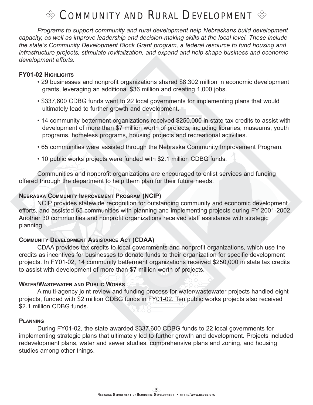### $\textcircled{*}$  Community and Rural Development  $\textcircled{*}$

*Programs to support community and rural development help Nebraskans build development capacity, as well as improve leadership and decision-making skills at the local level. These include the state's Community Development Block Grant program, a federal resource to fund housing and infrastructure projects, stimulate revitalization, and expand and help shape business and economic development efforts.*

#### **FY01-02 HIGHLIGHTS**

- 29 businesses and nonprofit organizations shared \$8.302 million in economic development grants, leveraging an additional \$36 million and creating 1,000 jobs.
- \$337,600 CDBG funds went to 22 local governments for implementing plans that would ultimately lead to further growth and development.
- 14 community betterment organizations received \$250,000 in state tax credits to assist with development of more than \$7 million worth of projects, including libraries, museums, youth programs, homeless programs, housing projects and recreational activities.
- 65 communities were assisted through the Nebraska Community Improvement Program.
- 10 public works projects were funded with \$2.1 million CDBG funds.

Communities and nonprofit organizations are encouraged to enlist services and funding offered through the department to help them plan for their future needs.

#### **NEBRASKA COMMUNITY IMPROVEMENT PROGRAM (NCIP)**

NCIP provides statewide recognition for outstanding community and economic development efforts, and assisted 65 communities with planning and implementing projects during FY 2001-2002. Another 30 communities and nonprofit organizations received staff assistance with strategic planning.

#### **COMMUNITY DEVELOPMENT ASSISTANCE ACT (CDAA)**

CDAA provides tax credits to local governments and nonprofit organizations, which use the credits as incentives for businesses to donate funds to their organization for specific development projects. In FY01-02, 14 community betterment organizations received \$250,000 in state tax credits to assist with development of more than \$7 million worth of projects.

#### **WATER/WASTEWATER AND PUBLIC WORKS**

A multi-agency joint review and funding process for water/wastewater projects handled eight projects, funded with \$2 million CDBG funds in FY01-02. Ten public works projects also received \$2.1 million CDBG funds.

#### **PLANNING**

During FY01-02, the state awarded \$337,600 CDBG funds to 22 local governments for implementing strategic plans that ultimately led to further growth and development. Projects included redevelopment plans, water and sewer studies, comprehensive plans and zoning, and housing studies among other things.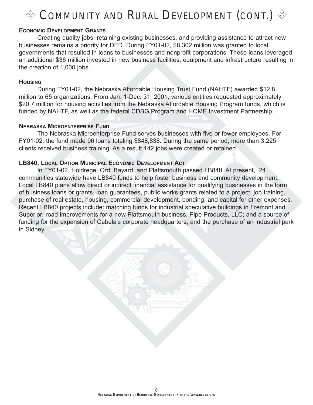## COMMUNITY AND RURAL DEVELOPMENT (CONT.)  $\otimes$

#### **ECONOMIC DEVELOPMENT GRANTS**

Creating quality jobs, retaining existing businesses, and providing assistance to attract new businesses remains a priority for DED. During FY01-02, \$8.302 million was granted to local governments that resulted in loans to businesses and nonprofit corporations. These loans leveraged an additional \$36 million invested in new business facilities, equipment and infrastructure resulting in the creation of 1,000 jobs.

#### **HOUSING**

During FY01-02, the Nebraska Affordable Housing Trust Fund (NAHTF) awarded \$12.8 million to 65 organizations. From Jan. 1-Dec. 31, 2001, various entities requested approximately \$20.7 million for housing activities from the Nebraska Affordable Housing Program funds, which is funded by NAHTF, as well as the federal CDBG Program and HOME Investment Partnership.

#### **NEBRASKA MICROENTERPRISE FUND**

The Nebraska Microenterprise Fund serves businesses with five or fewer employees. For FY01-02, the fund made 96 loans totaling \$848,838. During the same period, more than 3,225 clients received business training. As a result 142 jobs were created or retained.

#### **LB840, LOCAL OPTION MUNICIPAL ECONOMIC DEVELOPMENT ACT**

In FY01-02, Holdrege, Ord, Bayard, and Plattsmouth passed LB840. At present, 24 communities statewide have LB840 funds to help foster business and community development. Local LB840 plans allow direct or indirect financial assistance for qualifying businesses in the form of business loans or grants, loan guarantees, public works grants related to a project, job training, purchase of real estate, housing, commercial development, bonding, and capital for other expenses. Recent LB840 projects include: matching funds for industrial speculative buildings in Fremont and Superior; road improvements for a new Plattsmouth business, Pipe Products, LLC; and a source of funding for the expansion of Cabela's corporate headquarters, and the purchase of an industrial park in Sidney.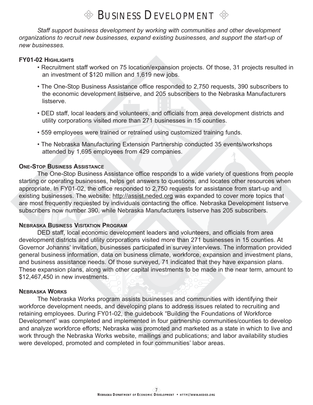### BUSINESS DEVELOPMENT  $\otimes$

*Staff support business development by working with communities and other development organizations to recruit new businesses, expand existing businesses, and support the start-up of new businesses.*

#### **FY01-02 HIGHLIGHTS**

- Recruitment staff worked on 75 location/expansion projects. Of those, 31 projects resulted in an investment of \$120 million and 1,619 new jobs.
- The One-Stop Business Assistance office responded to 2,750 requests, 390 subscribers to the economic development listserve, and 205 subscribers to the Nebraska Manufacturers listserve.
- DED staff, local leaders and volunteers, and officials from area development districts and utility corporations visited more than 271 businesses in 15 counties.
- 559 employees were trained or retrained using customized training funds.
- The Nebraska Manufacturing Extension Partnership conducted 35 events/workshops attended by 1,695 employees from 429 companies.

#### **ONE-STOP BUSINESS ASSISTANCE**

The One-Stop Business Assistance office responds to a wide variety of questions from people starting or operating businesses, helps get answers to questions, and locates other resources when appropriate. In FY01-02, the office responded to 2,750 requests for assistance from start-up and existing businesses. The website: http://assist.neded.org was expanded to cover more topics that are most frequently requested by individuals contacting the office. Nebraska Development listserve subscribers now number 390, while Nebraska Manufacturers listserve has 205 subscribers.

#### **NEBRASKA BUSINESS VISITATION PROGRAM**

DED staff, local economic development leaders and volunteers, and officials from area development districts and utility corporations visited more than 271 businesses in 15 counties. At Governor Johanns' invitation, businesses participated in survey interviews. The information provided general business information, data on business climate, workforce, expansion and investment plans, and business assistance needs. Of those surveyed, 71 indicated that they have expansion plans. These expansion plans, along with other capital investments to be made in the near term, amount to \$12,467,450 in new investments.

#### **NEBRASKA WORKS**

The Nebraska Works program assists businesses and communities with identifying their workforce development needs, and developing plans to address issues related to recruiting and retaining employees. During FY01-02, the guidebook "Building the Foundations of Workforce Development" was completed and implemented in four partnership communities/counties to develop and analyze workforce efforts; Nebraska was promoted and marketed as a state in which to live and work through the Nebraska Works website, mailings and publications; and labor availability studies were developed, promoted and completed in four communities' labor areas.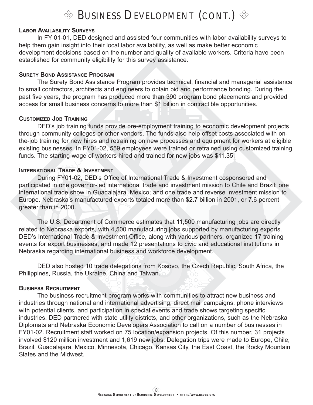### **EXECUTE:** BUSINESS DEVELOPMENT (CONT.)

#### **LABOR AVAILABILITY SURVEYS**

In FY 01-01, DED designed and assisted four communities with labor availability surveys to help them gain insight into their local labor availability, as well as make better economic development decisions based on the number and quality of available workers. Criteria have been established for community eligibility for this survey assistance.

#### **SURETY BOND ASSISTANCE PROGRAM**

The Surety Bond Assistance Program provides technical, financial and managerial assistance to small contractors, architects and engineers to obtain bid and performance bonding. During the past five years, the program has produced more than 390 program bond placements and provided access for small business concerns to more than \$1 billion in contractible opportunities.

#### **CUSTOMIZED JOB TRAINING**

DED's job training funds provide pre-employment training to economic development projects through community colleges or other vendors. The funds also help offset costs associated with onthe-job training for new hires and retraining on new processes and equipment for workers at eligible existing businesses. In FY01-02, 559 employees were trained or retrained using customized training funds. The starting wage of workers hired and trained for new jobs was \$11.35.

#### **INTERNATIONAL TRADE & INVESTMENT**

During FY01-02, DED's Office of International Trade & Investment cosponsored and participated in one governor-led international trade and investment mission to Chile and Brazil; one international trade show in Guadalajara, Mexico; and one trade and reverse investment mission to Europe. Nebraska's manufactured exports totaled more than \$2.7 billion in 2001, or 7.6 percent greater than in 2000.

The U.S. Department of Commerce estimates that 11,500 manufacturing jobs are directly related to Nebraska exports, with 4,500 manufacturing jobs supported by manufacturing exports. DED's International Trade & Investment Office, along with various partners, organized 17 training events for export businesses, and made 12 presentations to civic and educational institutions in Nebraska regarding international business and workforce development.

DED also hosted 10 trade delegations from Kosovo, the Czech Republic, South Africa, the Philippines, Russia, the Ukraine, China and Taiwan.

#### **BUSINESS RECRUITMENT**

The business recruitment program works with communities to attract new business and industries through national and international advertising, direct mail campaigns, phone interviews with potential clients, and participation in special events and trade shows targeting specific industries. DED partnered with state utility districts, and other organizations, such as the Nebraska Diplomats and Nebraska Economic Developers Association to call on a number of businesses in FY01-02. Recruitment staff worked on 75 location/expansion projects. Of this number, 31 projects involved \$120 million investment and 1,619 new jobs. Delegation trips were made to Europe, Chile, Brazil, Guadalajara, Mexico, Minnesota, Chicago, Kansas City, the East Coast, the Rocky Mountain States and the Midwest.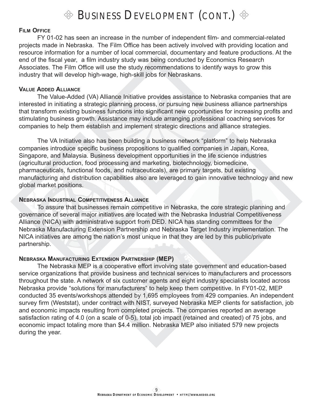

#### **FILM OFFICE**

FY 01-02 has seen an increase in the number of independent film- and commercial-related projects made in Nebraska. The Film Office has been actively involved with providing location and resource information for a number of local commercial, documentary and feature productions. At the end of the fiscal year, a film industry study was being conducted by Economics Research Associates. The Film Office will use the study recommendations to identify ways to grow this industry that will develop high-wage, high-skill jobs for Nebraskans.

#### **VALUE ADDED ALLIANCE**

The Value-Added (VA) Alliance Initiative provides assistance to Nebraska companies that are interested in initiating a strategic planning process, or pursuing new business alliance partnerships that transform existing business functions into significant new opportunities for increasing profits and stimulating business growth. Assistance may include arranging professional coaching services for companies to help them establish and implement strategic directions and alliance strategies.

The VA Initiative also has been building a business network "platform" to help Nebraska companies introduce specific business propositions to qualified companies in Japan, Korea, Singapore, and Malaysia. Business development opportunities in the life science industries (agricultural production, food processing and marketing, biotechnology, biomedicine, pharmaceuticals, functional foods, and nutraceuticals), are primary targets, but existing manufacturing and distribution capabilities also are leveraged to gain innovative technology and new global market positions.

#### **NEBRASKA INDUSTRIAL COMPETITIVENESS ALLIANCE**

To assure that businesses remain competitive in Nebraska, the core strategic planning and governance of several major initiatives are located with the Nebraska Industrial Competitiveness Alliance (NICA) with administrative support from DED. NICA has standing committees for the Nebraska Manufacturing Extension Partnership and Nebraska Target Industry implementation. The NICA initiatives are among the nation's most unique in that they are led by this public/private partnership.

#### **NEBRASKA MANUFACTURING EXTENSION PARTNERSHIP (MEP)**

The Nebraska MEP is a cooperative effort involving state government and education-based service organizations that provide business and technical services to manufacturers and processors throughout the state. A network of six customer agents and eight industry specialists located across Nebraska provide "solutions for manufacturers" to help keep them competitive. In FY01-02, MEP conducted 35 events/workshops attended by 1,695 employees from 429 companies. An independent survey firm (Weststat), under contract with NIST, surveyed Nebraska MEP clients for satisfaction, job and economic impacts resulting from completed projects. The companies reported an average satisfaction rating of 4.0 (on a scale of 0-5), total job impact (retained and created) of 75 jobs, and economic impact totaling more than \$4.4 million. Nebraska MEP also initiated 579 new projects during the year.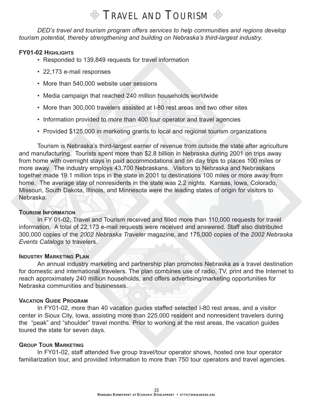### $\otimes$  Travel and Tourism  $\otimes$

*DED's travel and tourism program offers services to help communities and regions develop tourism potential, thereby strengthening and building on Nebraska's third-largest industry.*

#### **FY01-02 HIGHLIGHTS**

- Responded to 139,849 requests for travel information
- 22,173 e-mail responses
- More than 540,000 website user sessions
- Media campaign that reached 240 million households worldwide
- More than 300,000 travelers assisted at I-80 rest areas and two other sites
- Information provided to more than 400 tour operator and travel agencies
- Provided \$125,000 in marketing grants to local and regional tourism organizations

Tourism is Nebraska's third-largest earner of revenue from outside the state after agriculture and manufacturing. Tourists spent more than \$2.8 billion in Nebraska during 2001 on trips away from home with overnight stays in paid accommodations and on day trips to places 100 miles or more away. The industry employs 43,700 Nebraskans. Visitors to Nebraska and Nebraskans together made 19.1 million trips in the state in 2001 to destinations 100 miles or more away from home. The average stay of nonresidents in the state was 2.2 nights. Kansas, Iowa, Colorado, Missouri, South Dakota, Illinois, and Minnesota were the leading states of origin for visitors to Nebraska.

#### **TOURISM INFORMATION**

In FY 01-02, Travel and Tourism received and filled more than 110,000 requests for travel information. A total of 22,173 e-mail requests were received and answered. Staff also distributed 300,000 copies of the *2002 Nebraska Traveler* magazine, and 175,000 copies of the *2002 Nebraska Events Catalogs* to travelers.

#### **INDUSTRY MARKETING PLAN**

An annual industry marketing and partnership plan promotes Nebraska as a travel destination for domestic and international travelers. The plan combines use of radio, TV, print and the Internet to reach approximately 240 million households, and offers advertising/marketing opportunities for Nebraska communities and businesses.

#### **VACATION GUIDE PROGRAM**

In FY01-02, more than 40 vacation guides staffed selected I-80 rest areas, and a visitor center in Sioux City, Iowa, assisting more than 225,000 resident and nonresident travelers during the "peak" and "shoulder" travel months. Prior to working at the rest areas, the vacation guides toured the state for seven days.

#### **GROUP TOUR MARKETING**

In FY01-02, staff attended five group travel/tour operator shows, hosted one tour operator familiarization tour, and provided information to more than 750 tour operators and travel agencies.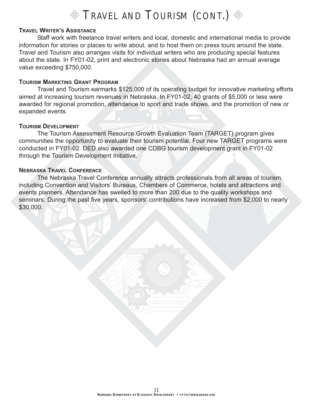### $\%$  Travel and Tourism (CONT.)  $\%$

#### **TRAVEL WRITER'S ASSISTANCE**

Staff work with freelance travel writers and local, domestic and international media to provide information for stories or places to write about, and to host them on press tours around the state. Travel and Tourism also arranges visits for individual writers who are producing special features about the state. In FY01-02, print and electronic stories about Nebraska had an annual average value exceeding \$750,000.

#### **TOURISM MARKETING GRANT PROGRAM**

Travel and Tourism earmarks \$125,000 of its operating budget for innovative marketing efforts aimed at increasing tourism revenues in Nebraska. In FY01-02, 40 grants of \$5,000 or less were awarded for regional promotion, attendance to sport and trade shows, and the promotion of new or expanded events.

#### **TOURISM DEVELOPMENT**

The Tourism Assessment Resource Growth Evaluation Team (TARGET) program gives communities the opportunity to evaluate their tourism potential. Four new TARGET programs were conducted in FY01-02. DED also awarded one CDBG tourism development grant in FY01-02 through the Tourism Development Initiative.

#### **NEBRASKA TRAVEL CONFERENCE**

The Nebraska Travel Conference annually attracts professionals from all areas of tourism, including Convention and Visitors' Bureaus, Chambers of Commerce, hotels and attractions and events planners. Attendance has swelled to more than 200 due to the quality workshops and seminars. During the past five years, sponsors' contributions have increased from \$2,000 to nearly \$30,000.